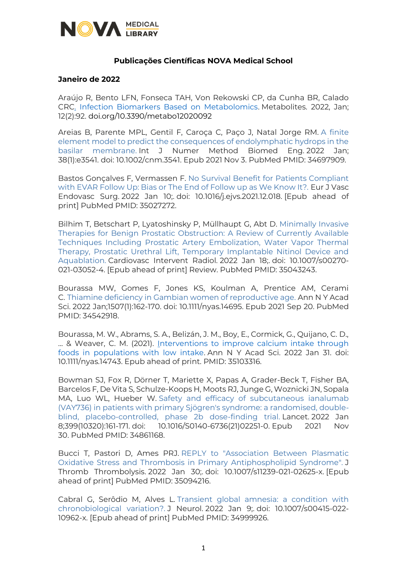

## **Publicações Científicas NOVA Medical School**

## **Janeiro de 2022**

Araújo R, Bento LFN, Fonseca TAH, Von Rekowski CP, da Cunha BR, Calado CRC. [Infection Biomarkers Based on Metabolomics.](https://www.mdpi.com/2218-1989/12/2/92/htm) Metabolites. 2022, Jan; 12(2):92. doi.org/10.3390/metabo12020092

Areias B, Parente MPL, Gentil F, Caroça C, Paço J, Natal Jorge RM. [A finite](https://www.ncbi.nlm.nih.gov/pubmed/34697909/)  [element model to predict the consequences of endolymphatic hydrops in the](https://www.ncbi.nlm.nih.gov/pubmed/34697909/)  [basilar membrane.](https://www.ncbi.nlm.nih.gov/pubmed/34697909/) Int J Numer Method Biomed Eng. 2022 Jan; 38(1):e3541. doi: 10.1002/cnm.3541. Epub 2021 Nov 3. PubMed PMID: 34697909.

Bastos Gonçalves F, Vermassen F. [No Survival Benefit for Patients Compliant](https://www.ncbi.nlm.nih.gov/pubmed/35027272/)  [with EVAR Follow Up: Bias or The End of Follow up as We Know It?.](https://www.ncbi.nlm.nih.gov/pubmed/35027272/) Eur J Vasc Endovasc Surg. 2022 Jan 10;. doi: 10.1016/j.ejvs.2021.12.018. [Epub ahead of print] PubMed PMID: 35027272.

Bilhim T, Betschart P, Lyatoshinsky P, Müllhaupt G, Abt D. [Minimally Invasive](https://www.ncbi.nlm.nih.gov/pubmed/35043243/)  [Therapies for Benign Prostatic Obstruction: A Review of Currently Available](https://www.ncbi.nlm.nih.gov/pubmed/35043243/)  [Techniques Including Prostatic Artery Embolization, Water Vapor Thermal](https://www.ncbi.nlm.nih.gov/pubmed/35043243/)  [Therapy, Prostatic Urethral Lift, Temporary Implantable Nitinol Device and](https://www.ncbi.nlm.nih.gov/pubmed/35043243/)  [Aquablation.](https://www.ncbi.nlm.nih.gov/pubmed/35043243/) Cardiovasc Intervent Radiol. 2022 Jan 18;. doi: 10.1007/s00270- 021-03052-4. [Epub ahead of print] Review. PubMed PMID: 35043243.

Bourassa MW, Gomes F, Jones KS, Koulman A, Prentice AM, Cerami C. [Thiamine deficiency in Gambian women of reproductive age.](https://www.ncbi.nlm.nih.gov/pubmed/34542918/) Ann N Y Acad Sci. 2022 Jan;1507(1):162-170. doi: 10.1111/nyas.14695. Epub 2021 Sep 20. PubMed PMID: 34542918.

Bourassa, M. W., Abrams, S. A., Belizán, J. M., Boy, E., Cormick, G., Quijano, C. D., ... & Weaver, C. M. (2021). [Interventions to improve calcium intake through](https://nyaspubs.onlinelibrary.wiley.com/doi/10.1111/nyas.14743)  [foods in populations with low intake.](https://nyaspubs.onlinelibrary.wiley.com/doi/10.1111/nyas.14743) Ann N Y Acad Sci. 2022 Jan 31. doi: 10.1111/nyas.14743. Epub ahead of print. PMID: 35103316.

Bowman SJ, Fox R, Dörner T, Mariette X, Papas A, Grader-Beck T, Fisher BA, Barcelos F, De Vita S, Schulze-Koops H, Moots RJ, Junge G, Woznicki JN, Sopala MA, Luo WL, Hueber W. [Safety and efficacy of subcutaneous ianalumab](https://www.ncbi.nlm.nih.gov/pubmed/34861168/)  [\(VAY736\) in patients with primary Sjögren's syndrome: a randomised, double](https://www.ncbi.nlm.nih.gov/pubmed/34861168/)[blind, placebo-controlled, phase 2b dose-finding trial.](https://www.ncbi.nlm.nih.gov/pubmed/34861168/) Lancet. 2022 Jan 8;399(10320):161-171. doi: 10.1016/S0140-6736(21)02251-0. Epub 2021 Nov 30. PubMed PMID: 34861168.

Bucci T, Pastori D, Ames PRJ. [REPLY to "Association Between Plasmatic](https://www.ncbi.nlm.nih.gov/pubmed/35094216/)  [Oxidative Stress and Thrombosis in Primary Antiphospholipid Syndrome".](https://www.ncbi.nlm.nih.gov/pubmed/35094216/) J Thromb Thrombolysis. 2022 Jan 30;. doi: 10.1007/s11239-021-02625-x. [Epub ahead of print] PubMed PMID: 35094216.

Cabral G, Serôdio M, Alves L. [Transient global amnesia: a condition with](https://www.ncbi.nlm.nih.gov/pubmed/34999926/)  [chronobiological variation?.](https://www.ncbi.nlm.nih.gov/pubmed/34999926/) J Neurol. 2022 Jan 9;. doi: 10.1007/s00415-022- 10962-x. [Epub ahead of print] PubMed PMID: 34999926.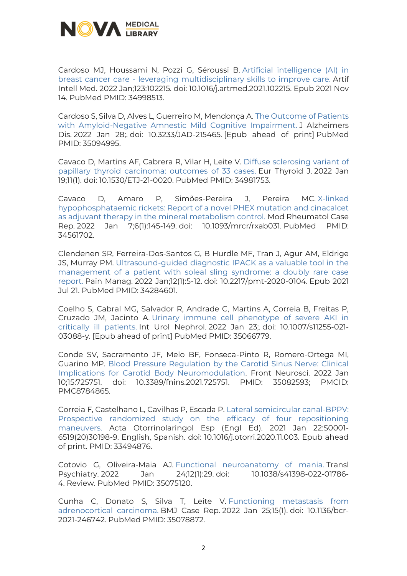

Cardoso MJ, Houssami N, Pozzi G, Séroussi B. [Artificial intelligence \(AI\) in](https://www.ncbi.nlm.nih.gov/pubmed/34998513/)  breast cancer care - [leveraging multidisciplinary skills to improve care.](https://www.ncbi.nlm.nih.gov/pubmed/34998513/) Artif Intell Med. 2022 Jan;123:102215. doi: 10.1016/j.artmed.2021.102215. Epub 2021 Nov 14. PubMed PMID: 34998513.

Cardoso S, Silva D, Alves L, Guerreiro M, Mendonça A. [The Outcome of Patients](https://www.ncbi.nlm.nih.gov/pubmed/35094995/)  [with Amyloid-Negative Amnestic Mild Cognitive Impairment.](https://www.ncbi.nlm.nih.gov/pubmed/35094995/) J Alzheimers Dis. 2022 Jan 28;. doi: 10.3233/JAD-215465. [Epub ahead of print] PubMed PMID: 35094995.

Cavaco D, Martins AF, Cabrera R, Vilar H, Leite V. [Diffuse sclerosing variant of](https://www.ncbi.nlm.nih.gov/pubmed/34981753/)  [papillary thyroid carcinoma: outcomes of 33 cases.](https://www.ncbi.nlm.nih.gov/pubmed/34981753/) Eur Thyroid J. 2022 Jan 19;11(1). doi: 10.1530/ETJ-21-0020. PubMed PMID: 34981753.

Cavaco D, Amaro P, Simões-Pereira J, Pereira MC. [X-linked](https://www.ncbi.nlm.nih.gov/pubmed/34561702/)  [hypophosphataemic rickets: Report of a novel PHEX mutation and cinacalcet](https://www.ncbi.nlm.nih.gov/pubmed/34561702/)  [as adjuvant therapy in the mineral metabolism control.](https://www.ncbi.nlm.nih.gov/pubmed/34561702/) Mod Rheumatol Case Rep. 2022 Jan 7;6(1):145-149. doi: 10.1093/mrcr/rxab031. PubMed PMID: 34561702.

Clendenen SR, Ferreira-Dos-Santos G, B Hurdle MF, Tran J, Agur AM, Eldrige JS, Murray PM. [Ultrasound-guided diagnostic IPACK as a valuable tool in the](https://www.ncbi.nlm.nih.gov/pubmed/34284601/)  [management of a patient with soleal sling syndrome: a doubly rare case](https://www.ncbi.nlm.nih.gov/pubmed/34284601/)  [report.](https://www.ncbi.nlm.nih.gov/pubmed/34284601/) Pain Manag. 2022 Jan;12(1):5-12. doi: 10.2217/pmt-2020-0104. Epub 2021 Jul 21. PubMed PMID: 34284601.

Coelho S, Cabral MG, Salvador R, Andrade C, Martins A, Correia B, Freitas P, Cruzado JM, Jacinto A. [Urinary immune cell phenotype of severe AKI in](https://www.ncbi.nlm.nih.gov/pubmed/35066779/)  [critically ill patients.](https://www.ncbi.nlm.nih.gov/pubmed/35066779/) Int Urol Nephrol. 2022 Jan 23;. doi: 10.1007/s11255-021- 03088-y. [Epub ahead of print] PubMed PMID: 35066779.

Conde SV, Sacramento JF, Melo BF, Fonseca-Pinto R, Romero-Ortega MI, Guarino MP. [Blood Pressure Regulation by the Carotid Sinus Nerve: Clinical](https://www.ncbi.nlm.nih.gov/pmc/articles/PMC8784865/)  [Implications for Carotid Body Neuromodulation.](https://www.ncbi.nlm.nih.gov/pmc/articles/PMC8784865/) Front Neurosci. 2022 Jan 10;15:725751. doi: 10.3389/fnins.2021.725751. PMID: 35082593; PMCID: PMC8784865.

Correia F, Castelhano L, Cavilhas P, Escada P. [Lateral semicircular canal-BPPV:](https://www.sciencedirect.com/science/article/abs/pii/S0001651920301989?via%3Dihub)  [Prospective randomized study on the efficacy of four repositioning](https://www.sciencedirect.com/science/article/abs/pii/S0001651920301989?via%3Dihub)  [maneuvers.](https://www.sciencedirect.com/science/article/abs/pii/S0001651920301989?via%3Dihub) Acta Otorrinolaringol Esp (Engl Ed). 2021 Jan 22:S0001- 6519(20)30198-9. English, Spanish. doi: 10.1016/j.otorri.2020.11.003. Epub ahead of print. PMID: 33494876.

Cotovio G, Oliveira-Maia AJ. [Functional neuroanatomy of mania.](https://www.ncbi.nlm.nih.gov/pubmed/35075120/) Transl Psychiatry. 2022 Jan 24;12(1):29. doi: 10.1038/s41398-022-01786- 4. Review. PubMed PMID: 35075120.

Cunha C, Donato S, Silva T, Leite V. [Functioning metastasis from](https://www.ncbi.nlm.nih.gov/pubmed/35078872/)  [adrenocortical carcinoma.](https://www.ncbi.nlm.nih.gov/pubmed/35078872/) BMJ Case Rep. 2022 Jan 25;15(1). doi: 10.1136/bcr-2021-246742. PubMed PMID: 35078872.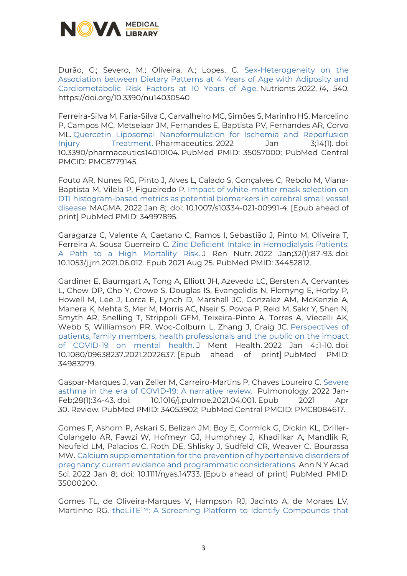

Durão, C.; Severo, M.; Oliveira, A.; Lopes, C. [Sex-Heterogeneity on the](https://www.mdpi.com/2072-6643/14/3/540)  [Association between Dietary Patterns at 4 Years of Age with Adiposity and](https://www.mdpi.com/2072-6643/14/3/540)  [Cardiometabolic Risk Factors at 10 Years of Age.](https://www.mdpi.com/2072-6643/14/3/540) Nutrients 2022, *14*, 540. https://doi.org/10.3390/nu14030540

Ferreira-Silva M, Faria-Silva C, Carvalheiro MC, Simões S, Marinho HS, Marcelino P, Campos MC, Metselaar JM, Fernandes E, Baptista PV, Fernandes AR, Corvo ML. [Quercetin Liposomal Nanoformulation for Ischemia and Reperfusion](https://www.ncbi.nlm.nih.gov/pubmed/35057000/)  [Injury Treatment.](https://www.ncbi.nlm.nih.gov/pubmed/35057000/) Pharmaceutics. 2022 Jan 3;14(1). doi: 10.3390/pharmaceutics14010104. PubMed PMID: 35057000; PubMed Central PMCID: PMC8779145.

Fouto AR, Nunes RG, Pinto J, Alves L, Calado S, Gonçalves C, Rebolo M, Viana-Baptista M, Vilela P, Figueiredo P. [Impact of white-matter mask selection on](https://www.ncbi.nlm.nih.gov/pubmed/34997895/)  [DTI histogram-based metrics as potential biomarkers in cerebral small vessel](https://www.ncbi.nlm.nih.gov/pubmed/34997895/)  [disease.](https://www.ncbi.nlm.nih.gov/pubmed/34997895/) MAGMA. 2022 Jan 8;. doi: 10.1007/s10334-021-00991-4. [Epub ahead of print] PubMed PMID: 34997895.

Garagarza C, Valente A, Caetano C, Ramos I, Sebastião J, Pinto M, Oliveira T, Ferreira A, Sousa Guerreiro C. [Zinc Deficient Intake in Hemodialysis Patients:](https://www.ncbi.nlm.nih.gov/pubmed/34452812/)  [A Path to a High Mortality Risk.](https://www.ncbi.nlm.nih.gov/pubmed/34452812/) J Ren Nutr. 2022 Jan;32(1):87-93. doi: 10.1053/j.jrn.2021.06.012. Epub 2021 Aug 25. PubMed PMID: 34452812.

Gardiner E, Baumgart A, Tong A, Elliott JH, Azevedo LC, Bersten A, Cervantes L, Chew DP, Cho Y, Crowe S, Douglas IS, Evangelidis N, Flemyng E, Horby P, Howell M, Lee J, Lorca E, Lynch D, Marshall JC, Gonzalez AM, McKenzie A, Manera K, Mehta S, Mer M, Morris AC, Nseir S, Povoa P, Reid M, Sakr Y, Shen N, Smyth AR, Snelling T, Strippoli GFM, Teixeira-Pinto A, Torres A, Viecelli AK, Webb S, Williamson PR, Woc-Colburn L, Zhang J, Craig JC. [Perspectives of](https://www.ncbi.nlm.nih.gov/pubmed/34983279/)  [patients, family members, health professionals and the public on the impact](https://www.ncbi.nlm.nih.gov/pubmed/34983279/)  [of COVID-19 on mental health.](https://www.ncbi.nlm.nih.gov/pubmed/34983279/) J Ment Health. 2022 Jan 4;:1-10. doi: 10.1080/09638237.2021.2022637. [Epub ahead of print] PubMed PMID: 34983279.

Gaspar-Marques J, van Zeller M, Carreiro-Martins P, Chaves Loureiro C. [Severe](https://www.ncbi.nlm.nih.gov/pubmed/34053902/)  [asthma in the era of COVID-19: A narrative review.](https://www.ncbi.nlm.nih.gov/pubmed/34053902/) Pulmonology. 2022 Jan-Feb;28(1):34-43. doi: 10.1016/j.pulmoe.2021.04.001. Epub 2021 Apr 30. Review. PubMed PMID: 34053902; PubMed Central PMCID: PMC8084617.

Gomes F, Ashorn P, Askari S, Belizan JM, Boy E, Cormick G, Dickin KL, Driller-Colangelo AR, Fawzi W, Hofmeyr GJ, Humphrey J, Khadilkar A, Mandlik R, Neufeld LM, Palacios C, Roth DE, Shlisky J, Sudfeld CR, Weaver C, Bourassa MW. [Calcium supplementation for the prevention of hypertensive disorders of](https://www.ncbi.nlm.nih.gov/pubmed/35000200/)  [pregnancy: current evidence and programmatic considerations.](https://www.ncbi.nlm.nih.gov/pubmed/35000200/) Ann N Y Acad Sci. 2022 Jan 8;. doi: 10.1111/nyas.14733. [Epub ahead of print] PubMed PMID: 35000200.

Gomes TL, de Oliveira-Marques V, Hampson RJ, Jacinto A, de Moraes LV, Martinho RG. [theLiTE™: A Screening Platform to Identify Compounds that](https://www.ncbi.nlm.nih.gov/pmc/articles/PMC8771259/)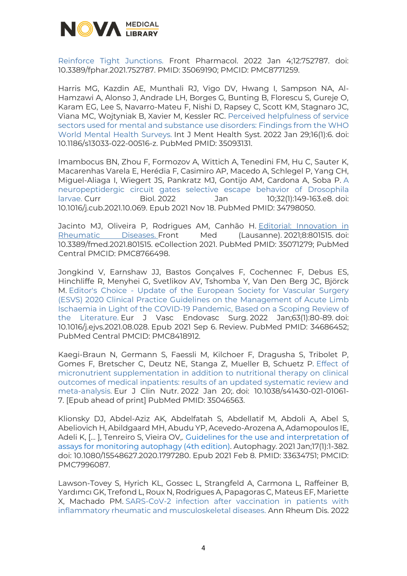

[Reinforce Tight Junctions.](https://www.ncbi.nlm.nih.gov/pmc/articles/PMC8771259/) Front Pharmacol. 2022 Jan 4;12:752787. doi: 10.3389/fphar.2021.752787. PMID: 35069190; PMCID: PMC8771259.

Harris MG, Kazdin AE, Munthali RJ, Vigo DV, Hwang I, Sampson NA, Al-Hamzawi A, Alonso J, Andrade LH, Borges G, Bunting B, Florescu S, Gureje O, Karam EG, Lee S, Navarro-Mateu F, Nishi D, Rapsey C, Scott KM, Stagnaro JC, Viana MC, Wojtyniak B, Xavier M, Kessler RC. [Perceived helpfulness of service](https://www.ncbi.nlm.nih.gov/pubmed/35093131/)  [sectors used for mental and substance use disorders: Findings from the WHO](https://www.ncbi.nlm.nih.gov/pubmed/35093131/)  [World Mental Health Surveys.](https://www.ncbi.nlm.nih.gov/pubmed/35093131/) Int J Ment Health Syst. 2022 Jan 29;16(1):6. doi: 10.1186/s13033-022-00516-z. PubMed PMID: 35093131.

Imambocus BN, Zhou F, Formozov A, Wittich A, Tenedini FM, Hu C, Sauter K, Macarenhas Varela E, Herédia F, Casimiro AP, Macedo A, Schlegel P, Yang CH, Miguel-Aliaga I, Wiegert JS, Pankratz MJ, Gontijo AM, Cardona A, Soba P. [A](https://www.ncbi.nlm.nih.gov/pubmed/34798050/)  [neuropeptidergic circuit gates selective escape behavior of Drosophila](https://www.ncbi.nlm.nih.gov/pubmed/34798050/)  [larvae.](https://www.ncbi.nlm.nih.gov/pubmed/34798050/) Curr Biol. 2022 Jan 10;32(1):149-163.e8. doi: 10.1016/j.cub.2021.10.069. Epub 2021 Nov 18. PubMed PMID: 34798050.

Jacinto MJ, Oliveira P, Rodrigues AM, Canhão H. Editorial: Innovation in [Rheumatic Diseases.](https://www.ncbi.nlm.nih.gov/pubmed/35071279/) Front Med (Lausanne). 2021;8:801515. doi: 10.3389/fmed.2021.801515. eCollection 2021. PubMed PMID: 35071279; PubMed Central PMCID: PMC8766498.

Jongkind V, Earnshaw JJ, Bastos Gonçalves F, Cochennec F, Debus ES, Hinchliffe R, Menyhei G, Svetlikov AV, Tshomba Y, Van Den Berg JC, Björck M. Editor's Choice - [Update of the European Society for Vascular Surgery](https://www.ncbi.nlm.nih.gov/pubmed/34686452/)  [\(ESVS\) 2020 Clinical Practice Guidelines on the](https://www.ncbi.nlm.nih.gov/pubmed/34686452/) Management of Acute Limb [Ischaemia in Light of the COVID-19 Pandemic, Based on a Scoping Review of](https://www.ncbi.nlm.nih.gov/pubmed/34686452/)  [the Literature.](https://www.ncbi.nlm.nih.gov/pubmed/34686452/) Eur J Vasc Endovasc Surg. 2022 Jan;63(1):80-89. doi: 10.1016/j.ejvs.2021.08.028. Epub 2021 Sep 6. Review. PubMed PMID: 34686452; PubMed Central PMCID: PMC8418912.

Kaegi-Braun N, Germann S, Faessli M, Kilchoer F, Dragusha S, Tribolet P, Gomes F, Bretscher C, Deutz NE, Stanga Z, Mueller B, Schuetz P. [Effect of](https://www.ncbi.nlm.nih.gov/pubmed/35046563/)  [micronutrient supplementation in addition to nutritional therapy on clinical](https://www.ncbi.nlm.nih.gov/pubmed/35046563/)  [outcomes of medical inpatients: results of an updated systematic review and](https://www.ncbi.nlm.nih.gov/pubmed/35046563/)  [meta-analysis.](https://www.ncbi.nlm.nih.gov/pubmed/35046563/) Eur J Clin Nutr. 2022 Jan 20;. doi: 10.1038/s41430-021-01061- 7. [Epub ahead of print] PubMed PMID: 35046563.

Klionsky DJ, Abdel-Aziz AK, Abdelfatah S, Abdellatif M, Abdoli A, Abel S, Abeliovich H, Abildgaard MH, Abudu YP, Acevedo-Arozena A, Adamopoulos IE, Adeli K, [… ], Tenreiro S, Vieira OV,. [Guidelines for the use and interpretation of](https://www.tandfonline.com/doi/full/10.1080/15548627.2020.1797280)  [assays for monitoring autophagy \(4th edition\).](https://www.tandfonline.com/doi/full/10.1080/15548627.2020.1797280) Autophagy. 2021 Jan;17(1):1-382. doi: 10.1080/15548627.2020.1797280. Epub 2021 Feb 8. PMID: 33634751; PMCID: PMC7996087.

Lawson-Tovey S, Hyrich KL, Gossec L, Strangfeld A, Carmona L, Raffeiner B, Yardımcı GK, Trefond L, Roux N, Rodrigues A, Papagoras C, Mateus EF, Mariette X, Machado PM. [SARS-CoV-2 infection after vaccination in patients with](https://www.ncbi.nlm.nih.gov/pubmed/34489305/)  [inflammatory rheumatic and musculoskeletal diseases.](https://www.ncbi.nlm.nih.gov/pubmed/34489305/) Ann Rheum Dis. 2022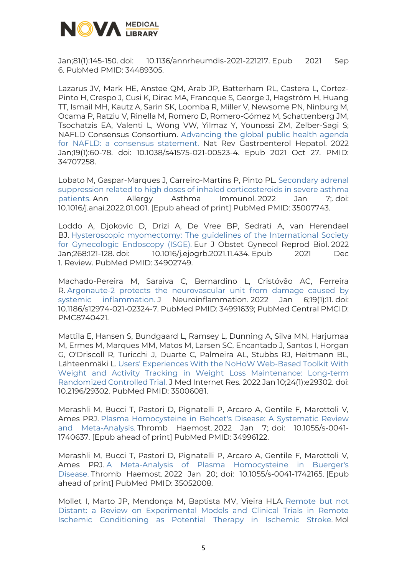

Jan;81(1):145-150. doi: 10.1136/annrheumdis-2021-221217. Epub 2021 Sep 6. PubMed PMID: 34489305.

Lazarus JV, Mark HE, Anstee QM, Arab JP, Batterham RL, Castera L, Cortez-Pinto H, Crespo J, Cusi K, Dirac MA, Francque S, George J, Hagström H, Huang TT, Ismail MH, Kautz A, Sarin SK, Loomba R, Miller V, Newsome PN, Ninburg M, Ocama P, Ratziu V, Rinella M, Romero D, Romero-Gómez M, Schattenberg JM, Tsochatzis EA, Valenti L, Wong VW, Yilmaz Y, Younossi ZM, Zelber-Sagi S; NAFLD Consensus Consortium. [Advancing the global public health agenda](https://www.nature.com/articles/s41575-021-00523-4)  [for NAFLD: a consensus statement.](https://www.nature.com/articles/s41575-021-00523-4) Nat Rev Gastroenterol Hepatol. 2022 Jan;19(1):60-78. doi: 10.1038/s41575-021-00523-4. Epub 2021 Oct 27. PMID: 34707258.

Lobato M, Gaspar-Marques J, Carreiro-Martins P, Pinto PL. [Secondary adrenal](https://www.ncbi.nlm.nih.gov/pubmed/35007743/)  [suppression related to high doses of inhaled corticosteroids in severe asthma](https://www.ncbi.nlm.nih.gov/pubmed/35007743/)  [patients.](https://www.ncbi.nlm.nih.gov/pubmed/35007743/) Ann Allergy Asthma Immunol. 2022 Jan 7;. doi: 10.1016/j.anai.2022.01.001. [Epub ahead of print] PubMed PMID: 35007743.

Loddo A, Djokovic D, Drizi A, De Vree BP, Sedrati A, van Herendael BJ. [Hysteroscopic myomectomy: The guidelines of the International Society](https://www.ncbi.nlm.nih.gov/pubmed/34902749/)  [for Gynecologic Endoscopy \(ISGE\).](https://www.ncbi.nlm.nih.gov/pubmed/34902749/) Eur J Obstet Gynecol Reprod Biol. 2022 Jan;268:121-128. doi: 10.1016/j.ejogrb.2021.11.434. Epub 2021 Dec 1. Review. PubMed PMID: 34902749.

Machado-Pereira M, Saraiva C, Bernardino L, Cristóvão AC, Ferreira R. [Argonaute-2 protects the neurovascular unit from damage caused by](https://www.ncbi.nlm.nih.gov/pubmed/34991639/)  [systemic inflammation.](https://www.ncbi.nlm.nih.gov/pubmed/34991639/) J Neuroinflammation. 2022 Jan 6;19(1):11. doi: 10.1186/s12974-021-02324-7. PubMed PMID: 34991639; PubMed Central PMCID: PMC8740421.

Mattila E, Hansen S, Bundgaard L, Ramsey L, Dunning A, Silva MN, Harjumaa M, Ermes M, Marques MM, Matos M, Larsen SC, Encantado J, Santos I, Horgan G, O'Driscoll R, Turicchi J, Duarte C, Palmeira AL, Stubbs RJ, Heitmann BL, Lähteenmäki L. [Users' Experiences With the NoHoW Web-Based Toolkit With](https://www.ncbi.nlm.nih.gov/pubmed/35006081/)  [Weight and Activity Tracking in Weight Loss Maintenance: Long-term](https://www.ncbi.nlm.nih.gov/pubmed/35006081/)  [Randomized Controlled Trial.](https://www.ncbi.nlm.nih.gov/pubmed/35006081/) J Med Internet Res. 2022 Jan 10;24(1):e29302. doi: 10.2196/29302. PubMed PMID: 35006081.

Merashli M, Bucci T, Pastori D, Pignatelli P, Arcaro A, Gentile F, Marottoli V, Ames PRJ. [Plasma Homocysteine in Behcet's Disease: A Systematic Review](https://www.ncbi.nlm.nih.gov/pubmed/34996122/)  [and Meta-Analysis.](https://www.ncbi.nlm.nih.gov/pubmed/34996122/) Thromb Haemost. 2022 Jan 7;. doi: 10.1055/s-0041- 1740637. [Epub ahead of print] PubMed PMID: 34996122.

Merashli M, Bucci T, Pastori D, Pignatelli P, Arcaro A, Gentile F, Marottoli V, Ames PRJ. [A Meta-Analysis of Plasma Homocysteine in Buerger's](https://www.ncbi.nlm.nih.gov/pubmed/35052008/)  [Disease.](https://www.ncbi.nlm.nih.gov/pubmed/35052008/) Thromb Haemost. 2022 Jan 20;. doi: 10.1055/s-0041-1742165. [Epub ahead of print] PubMed PMID: 35052008.

Mollet I, Marto JP, Mendonça M, Baptista MV, Vieira HLA. [Remote but not](https://www.ncbi.nlm.nih.gov/pubmed/34686988/)  [Distant: a Review on Experimental Models and Clinical Trials in Remote](https://www.ncbi.nlm.nih.gov/pubmed/34686988/)  [Ischemic Conditioning as Potential Therapy in Ischemic Stroke.](https://www.ncbi.nlm.nih.gov/pubmed/34686988/) Mol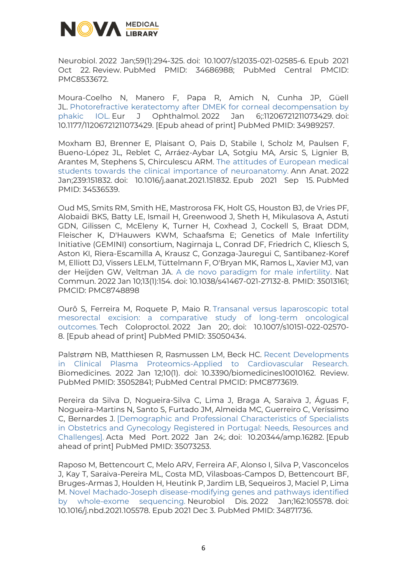

Neurobiol. 2022 Jan;59(1):294-325. doi: 10.1007/s12035-021-02585-6. Epub 2021 Oct 22. Review. PubMed PMID: 34686988; PubMed Central PMCID: PMC8533672.

Moura-Coelho N, Manero F, Papa R, Amich N, Cunha JP, Güell JL. [Photorefractive keratectomy after DMEK for corneal decompensation by](https://www.ncbi.nlm.nih.gov/pubmed/34989257/)  [phakic IOL.](https://www.ncbi.nlm.nih.gov/pubmed/34989257/) Eur J Ophthalmol. 2022 Jan 6;:11206721211073429. doi: 10.1177/11206721211073429. [Epub ahead of print] PubMed PMID: 34989257.

Moxham BJ, Brenner E, Plaisant O, Pais D, Stabile I, Scholz M, Paulsen F, Bueno-López JL, Reblet C, Arráez-Aybar LA, Sotgiu MA, Arsic S, Lignier B, Arantes M, Stephens S, Chirculescu ARM. [The attitudes of European medical](https://www.ncbi.nlm.nih.gov/pubmed/34536539/)  [students towards the clinical importance of neuroanatomy.](https://www.ncbi.nlm.nih.gov/pubmed/34536539/) Ann Anat. 2022 Jan;239:151832. doi: 10.1016/j.aanat.2021.151832. Epub 2021 Sep 15. PubMed PMID: 34536539.

Oud MS, Smits RM, Smith HE, Mastrorosa FK, Holt GS, Houston BJ, de Vries PF, Alobaidi BKS, Batty LE, Ismail H, Greenwood J, Sheth H, Mikulasova A, Astuti GDN, Gilissen C, McEleny K, Turner H, Coxhead J, Cockell S, Braat DDM, Fleischer K, D'Hauwers KWM, Schaafsma E; Genetics of Male Infertility Initiative (GEMINI) consortium, Nagirnaja L, Conrad DF, Friedrich C, Kliesch S, Aston KI, Riera-Escamilla A, Krausz C, Gonzaga-Jauregui C, Santibanez-Koref M, Elliott DJ, Vissers LELM, Tüttelmann F, O'Bryan MK, Ramos L, Xavier MJ, van der Heijden GW, Veltman JA. [A de novo paradigm for male infertility.](https://www.nature.com/articles/s41467-021-27132-8) Nat Commun. 2022 Jan 10;13(1):154. doi: 10.1038/s41467-021-27132-8. PMID: 35013161; PMCID: PMC8748898

Ourô S, Ferreira M, Roquete P, Maio R. [Transanal versus laparoscopic total](https://www.ncbi.nlm.nih.gov/pubmed/35050434/)  [mesorectal excision: a comparative study of long-term oncological](https://www.ncbi.nlm.nih.gov/pubmed/35050434/)  [outcomes.](https://www.ncbi.nlm.nih.gov/pubmed/35050434/) Tech Coloproctol. 2022 Jan 20;. doi: 10.1007/s10151-022-02570- 8. [Epub ahead of print] PubMed PMID: 35050434.

Palstrøm NB, Matthiesen R, Rasmussen LM, Beck HC. [Recent Developments](https://www.ncbi.nlm.nih.gov/pubmed/35052841/)  [in Clinical Plasma Proteomics-Applied to Cardiovascular Research.](https://www.ncbi.nlm.nih.gov/pubmed/35052841/) Biomedicines. 2022 Jan 12;10(1). doi: 10.3390/biomedicines10010162. Review. PubMed PMID: 35052841; PubMed Central PMCID: PMC8773619.

Pereira da Silva D, Nogueira-Silva C, Lima J, Braga A, Saraiva J, Águas F, Nogueira-Martins N, Santo S, Furtado JM, Almeida MC, Guerreiro C, Veríssimo C, Bernardes J. [\[Demographic and Professional Characteristics of Specialists](https://www.ncbi.nlm.nih.gov/pubmed/35073253/)  [in Obstetrics and Gynecology Registered in Portugal: Needs, Resources and](https://www.ncbi.nlm.nih.gov/pubmed/35073253/)  [Challenges\].](https://www.ncbi.nlm.nih.gov/pubmed/35073253/) Acta Med Port. 2022 Jan 24;. doi: 10.20344/amp.16282. [Epub ahead of print] PubMed PMID: 35073253.

Raposo M, Bettencourt C, Melo ARV, Ferreira AF, Alonso I, Silva P, Vasconcelos J, Kay T, Saraiva-Pereira ML, Costa MD, Vilasboas-Campos D, Bettencourt BF, Bruges-Armas J, Houlden H, Heutink P, Jardim LB, Sequeiros J, Maciel P, Lima M. [Novel Machado-Joseph disease-modifying genes and pathways identified](https://www.ncbi.nlm.nih.gov/pubmed/34871736/)  [by whole-exome sequencing.](https://www.ncbi.nlm.nih.gov/pubmed/34871736/) Neurobiol Dis. 2022 Jan;162:105578. doi: 10.1016/j.nbd.2021.105578. Epub 2021 Dec 3. PubMed PMID: 34871736.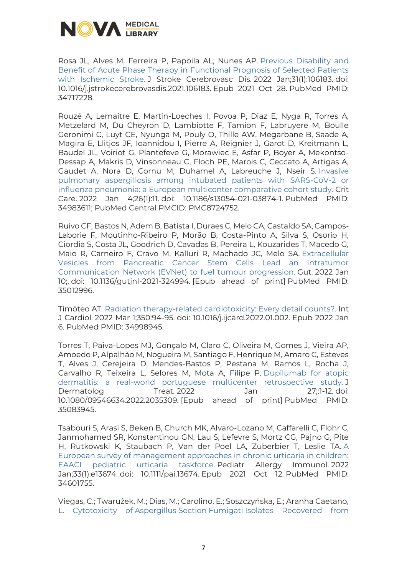

Rosa JL, Alves M, Ferreira P, Papoila AL, Nunes AP. [Previous Disability and](https://www.ncbi.nlm.nih.gov/pubmed/34717228/)  [Benefit of Acute Phase Therapy in Functional Prognosis of Selected Patients](https://www.ncbi.nlm.nih.gov/pubmed/34717228/)  [with Ischemic Stroke.](https://www.ncbi.nlm.nih.gov/pubmed/34717228/) J Stroke Cerebrovasc Dis. 2022 Jan;31(1):106183. doi: 10.1016/j.jstrokecerebrovasdis.2021.106183. Epub 2021 Oct 28. PubMed PMID: 34717228.

Rouzé A, Lemaitre E, Martin-Loeches I, Povoa P, Diaz E, Nyga R, Torres A, Metzelard M, Du Cheyron D, Lambiotte F, Tamion F, Labruyere M, Boulle Geronimi C, Luyt CE, Nyunga M, Pouly O, Thille AW, Megarbane B, Saade A, Magira E, Llitjos JF, Ioannidou I, Pierre A, Reignier J, Garot D, Kreitmann L, Baudel JL, Voiriot G, Plantefeve G, Morawiec E, Asfar P, Boyer A, Mekontso-Dessap A, Makris D, Vinsonneau C, Floch PE, Marois C, Ceccato A, Artigas A, Gaudet A, Nora D, Cornu M, Duhamel A, Labreuche J, Nseir S. [Invasive](https://www.ncbi.nlm.nih.gov/pubmed/34983611/)  [pulmonary aspergillosis among intubated patients with SARS-CoV-2 or](https://www.ncbi.nlm.nih.gov/pubmed/34983611/)  [influenza pneumonia: a European multicenter comparative cohort study.](https://www.ncbi.nlm.nih.gov/pubmed/34983611/) Crit Care. 2022 Jan 4;26(1):11. doi: 10.1186/s13054-021-03874-1. PubMed PMID: 34983611; PubMed Central PMCID: PMC8724752.

Ruivo CF, Bastos N, Adem B, Batista I, Duraes C, Melo CA, Castaldo SA, Campos-Laborie F, Moutinho-Ribeiro P, Morão B, Costa-Pinto A, Silva S, Osorio H, Ciordia S, Costa JL, Goodrich D, Cavadas B, Pereira L, Kouzarides T, Macedo G, Maio R, Carneiro F, Cravo M, Kalluri R, Machado JC, Melo SA. [Extracellular](https://www.ncbi.nlm.nih.gov/pubmed/35012996/)  [Vesicles from Pancreatic Cancer Stem Cells Lead an Intratumor](https://www.ncbi.nlm.nih.gov/pubmed/35012996/)  [Communication Network \(EVNet\) to fuel tumour progression.](https://www.ncbi.nlm.nih.gov/pubmed/35012996/) Gut. 2022 Jan 10;. doi: 10.1136/gutjnl-2021-324994. [Epub ahead of print] PubMed PMID: 35012996.

Timóteo AT. [Radiation therapy-related cardiotoxicity: Every detail counts?.](https://www.ncbi.nlm.nih.gov/pubmed/34998945/) Int J Cardiol. 2022 Mar 1;350:94-95. doi: 10.1016/j.ijcard.2022.01.002. Epub 2022 Jan 6. PubMed PMID: 34998945.

Torres T, Paiva-Lopes MJ, Gonçalo M, Claro C, Oliveira M, Gomes J, Vieira AP, Amoedo P, Alpalhão M, Nogueira M, Santiago F, Henrique M, Amaro C, Esteves T, Alves J, Cerejeira D, Mendes-Bastos P, Pestana M, Ramos L, Rocha J, Carvalho R, Teixeira L, Selores M, Mota A, Filipe P. [Dupilumab for atopic](https://www.ncbi.nlm.nih.gov/pubmed/35083945/)  [dermatitis: a real-world portuguese multicenter retrospective](https://www.ncbi.nlm.nih.gov/pubmed/35083945/) study. J Dermatolog Treat. 2022 Jan 27;:1-12. doi: 10.1080/09546634.2022.2035309. [Epub ahead of print] PubMed PMID: 35083945.

Tsabouri S, Arasi S, Beken B, Church MK, Alvaro-Lozano M, Caffarelli C, Flohr C, Janmohamed SR, Konstantinou GN, Lau S, Lefevre S, Mortz CG, Pajno G, Pite H, Rutkowski K, Staubach P, Van der Poel LA, Zuberbier T, Leslie TA. [A](https://www.ncbi.nlm.nih.gov/pubmed/34601755/)  [European survey of management approaches in chronic urticaria in children:](https://www.ncbi.nlm.nih.gov/pubmed/34601755/)  [EAACI pediatric urticaria taskforce.](https://www.ncbi.nlm.nih.gov/pubmed/34601755/) Pediatr Allergy Immunol. 2022 Jan;33(1):e13674. doi: 10.1111/pai.13674. Epub 2021 Oct 12. PubMed PMID: 34601755.

Viegas, C.; Twarużek, M.; Dias, M.; Carolino, E.; Soszczyńska, E.; Aranha Caetano, L. Cytotoxicity of Aspergillus Section Fumigati [Isolates Recovered from](https://www.mdpi.com/2072-6651/14/2/70)